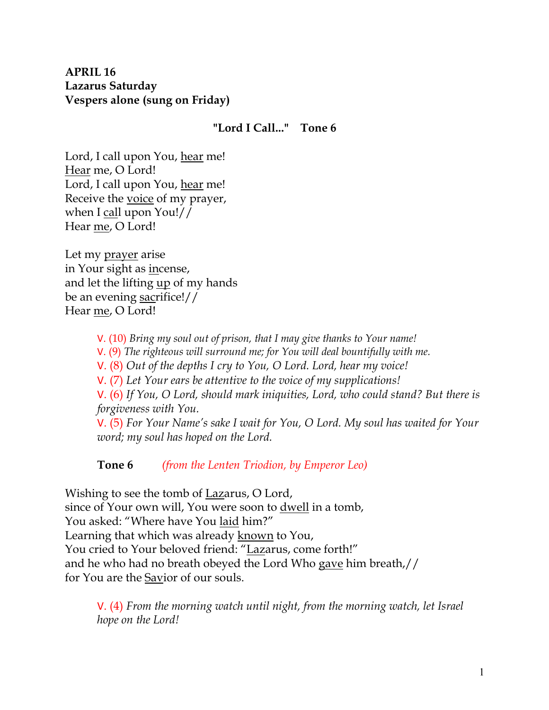## **APRIL 16 Lazarus Saturday Vespers alone (sung on Friday)**

#### **"Lord I Call..." Tone 6**

Lord, I call upon You, hear me! Hear me, O Lord! Lord, I call upon You, hear me! Receive the voice of my prayer, when I call upon You!// Hear me, O Lord!

Let my prayer arise in Your sight as incense, and let the lifting <u>up</u> of my hands be an evening sacrifice!// Hear me, O Lord!

V. (10) *Bring my soul out of prison, that I may give thanks to Your name!* 

V. (9) *The righteous will surround me; for You will deal bountifully with me.* 

V. (8) *Out of the depths I cry to You, O Lord. Lord, hear my voice!* 

V. (7) *Let Your ears be attentive to the voice of my supplications!*

V. (6) *If You, O Lord, should mark iniquities, Lord, who could stand? But there is forgiveness with You.* 

V. (5) *For Your Name's sake I wait for You, O Lord. My soul has waited for Your word; my soul has hoped on the Lord.* 

**Tone 6** *(from the Lenten Triodion, by Emperor Leo)*

Wishing to see the tomb of Lazarus, O Lord, since of Your own will, You were soon to dwell in a tomb, You asked: "Where have You laid him?" Learning that which was already known to You, You cried to Your beloved friend: "Lazarus, come forth!" and he who had no breath obeyed the Lord Who gave him breath,// for You are the Savior of our souls.

V. (4) *From the morning watch until night, from the morning watch, let Israel hope on the Lord!*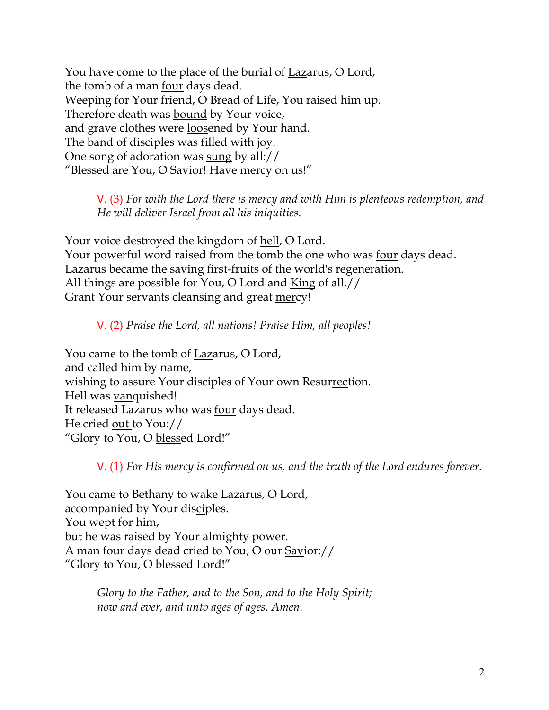You have come to the place of the burial of Lazarus, O Lord, the tomb of a man <u>four</u> days dead. Weeping for Your friend, O Bread of Life, You raised him up. Therefore death was bound by Your voice, and grave clothes were loosened by Your hand. The band of disciples was <u>filled</u> with joy. One song of adoration was sung by all:// "Blessed are You, O Savior! Have mercy on us!"

V. (3) *For with the Lord there is mercy and with Him is plenteous redemption, and He will deliver Israel from all his iniquities.*

Your voice destroyed the kingdom of hell, O Lord. Your powerful word raised from the tomb the one who was <u>four</u> days dead. Lazarus became the saving first-fruits of the world's regeneration. All things are possible for You, O Lord and King of all.// Grant Your servants cleansing and great mercy!

V. (2) *Praise the Lord, all nations! Praise Him, all peoples!*

You came to the tomb of Lazarus, O Lord, and called him by name, wishing to assure Your disciples of Your own Resurrection. Hell was vanquished! It released Lazarus who was four days dead. He cried out to You:// "Glory to You, O blessed Lord!"

V. (1) *For His mercy is confirmed on us, and the truth of the Lord endures forever.* 

You came to Bethany to wake Lazarus, O Lord, accompanied by Your disciples. You wept for him, but he was raised by Your almighty power. A man four days dead cried to You, O our Savior:// "Glory to You, O blessed Lord!"

> *Glory to the Father, and to the Son, and to the Holy Spirit; now and ever, and unto ages of ages. Amen.*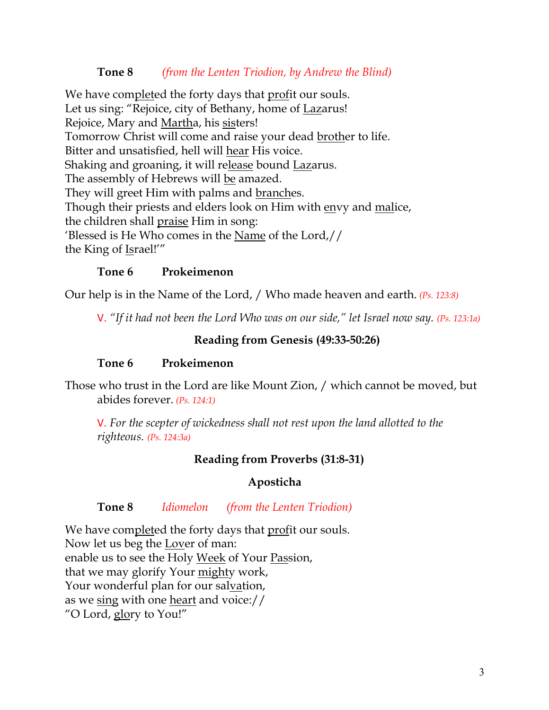#### **Tone 8** *(from the Lenten Triodion, by Andrew the Blind)*

We have completed the forty days that profit our souls. Let us sing: "Rejoice, city of Bethany, home of Lazarus! Rejoice, Mary and Martha, his sisters! Tomorrow Christ will come and raise your dead brother to life. Bitter and unsatisfied, hell will hear His voice. Shaking and groaning, it will release bound Lazarus. The assembly of Hebrews will be amazed. They will greet Him with palms and branches. Though their priests and elders look on Him with envy and malice, the children shall praise Him in song: 'Blessed is He Who comes in the Name of the Lord,// the King of Israel!'"

#### **Tone 6 Prokeimenon**

Our help is in the Name of the Lord, / Who made heaven and earth. *(Ps. 123:8)*

V. *"If it had not been the Lord Who was on our side," let Israel now say. (Ps. 123:1a)*

#### **Reading from Genesis (49:33-50:26)**

#### **Tone 6 Prokeimenon**

Those who trust in the Lord are like Mount Zion, / which cannot be moved, but abides forever. *(Ps. 124:1)*

V. *For the scepter of wickedness shall not rest upon the land allotted to the righteous. (Ps. 124:3a)*

#### **Reading from Proverbs (31:8-31)**

#### **Aposticha**

#### **Tone 8** *Idiomelon (from the Lenten Triodion)*

We have completed the forty days that profit our souls. Now let us beg the Lover of man: enable us to see the Holy Week of Your Passion, that we may glorify Your mighty work, Your wonderful plan for our salvation, as we sing with one heart and voice:// "O Lord, glory to You!"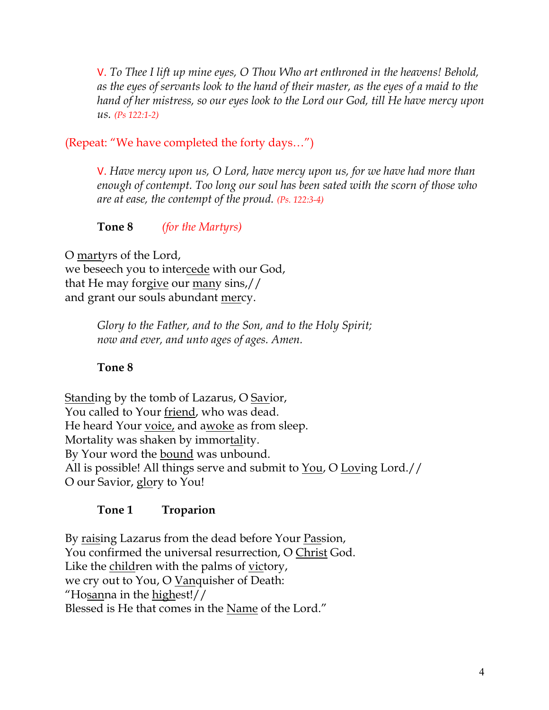V. *To Thee I lift up mine eyes, O Thou Who art enthroned in the heavens! Behold, as the eyes of servants look to the hand of their master, as the eyes of a maid to the hand of her mistress, so our eyes look to the Lord our God, till He have mercy upon us. (Ps 122:1-2)*

# (Repeat: "We have completed the forty days…")

V. *Have mercy upon us, O Lord, have mercy upon us, for we have had more than enough of contempt. Too long our soul has been sated with the scorn of those who are at ease, the contempt of the proud. (Ps. 122:3-4)*

**Tone 8** *(for the Martyrs)*

O martyrs of the Lord, we beseech you to intercede with our God, that He may forgive our many sins,// and grant our souls abundant mercy.

> *Glory to the Father, and to the Son, and to the Holy Spirit; now and ever, and unto ages of ages. Amen.*

## **Tone 8**

Standing by the tomb of Lazarus, O Savior, You called to Your friend, who was dead. He heard Your voice, and awoke as from sleep. Mortality was shaken by immortality. By Your word the bound was unbound. All is possible! All things serve and submit to You, O Loving Lord.// O our Savior, glory to You!

## **Tone 1 Troparion**

By raising Lazarus from the dead before Your Passion, You confirmed the universal resurrection, O Christ God. Like the children with the palms of victory, we cry out to You, O Vanquisher of Death: "Hosanna in the highest!// Blessed is He that comes in the Name of the Lord."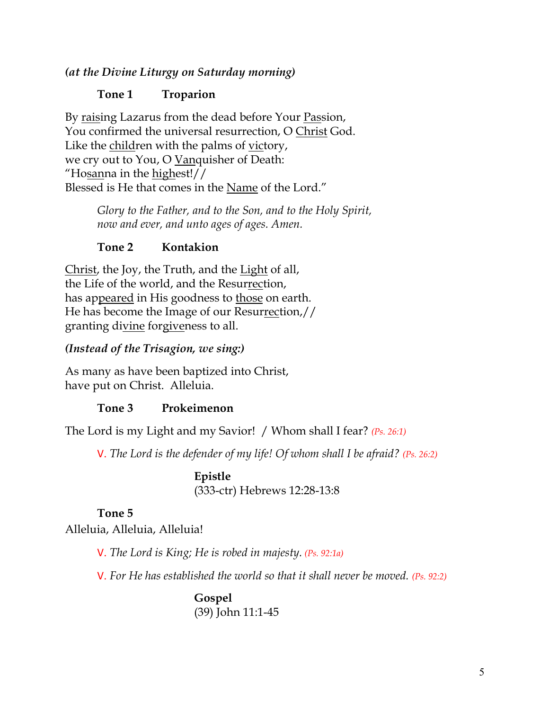## *(at the Divine Liturgy on Saturday morning)*

## **Tone 1 Troparion**

By raising Lazarus from the dead before Your Passion, You confirmed the universal resurrection, O Christ God. Like the children with the palms of victory, we cry out to You, O Vanquisher of Death: "Hosanna in the highest!// Blessed is He that comes in the Name of the Lord."

> *Glory to the Father, and to the Son, and to the Holy Spirit, now and ever, and unto ages of ages. Amen.*

## **Tone 2 Kontakion**

Christ, the Joy, the Truth, and the Light of all, the Life of the world, and the Resurrection, has appeared in His goodness to those on earth. He has become the Image of our Resurrection,// granting divine forgiveness to all.

## *(Instead of the Trisagion, we sing:)*

As many as have been baptized into Christ, have put on Christ. Alleluia.

## **Tone 3 Prokeimenon**

The Lord is my Light and my Savior! / Whom shall I fear? *(Ps. 26:1)*

V. *The Lord is the defender of my life! Of whom shall I be afraid? (Ps. 26:2)*

**Epistle** (333-ctr) Hebrews 12:28-13:8

# **Tone 5**

Alleluia, Alleluia, Alleluia!

V. *The Lord is King; He is robed in majesty. (Ps. 92:1a)*

V. *For He has established the world so that it shall never be moved. (Ps. 92:2)*

**Gospel** (39) John 11:1-45